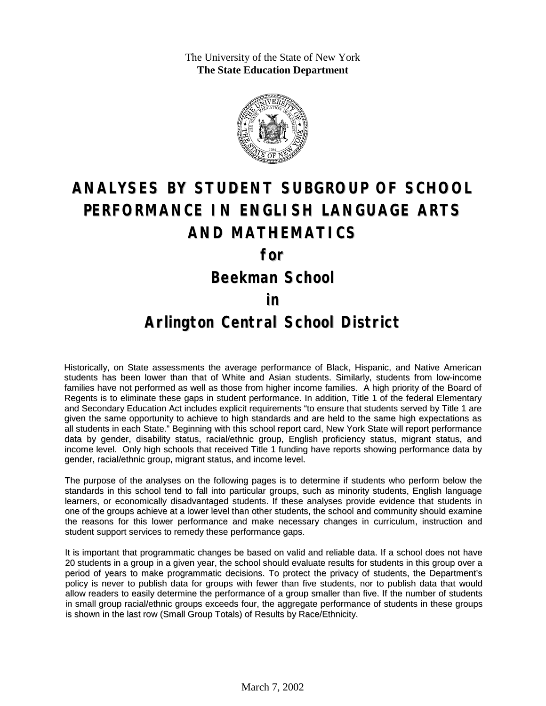The University of the State of New York **The State Education Department**



# **ANALYSES BY STUDENT SUBGROUP OF SCHOOL PERFORMANCE IN ENGLISH LANGUAGE ARTS AND MATHEMATICS**

**for**

**Beekman School**

#### **in**

### **Arlington Central School District**

Historically, on State assessments the average performance of Black, Hispanic, and Native American students has been lower than that of White and Asian students. Similarly, students from low-income families have not performed as well as those from higher income families. A high priority of the Board of Regents is to eliminate these gaps in student performance. In addition, Title 1 of the federal Elementary and Secondary Education Act includes explicit requirements "to ensure that students served by Title 1 are given the same opportunity to achieve to high standards and are held to the same high expectations as all students in each State." Beginning with this school report card, New York State will report performance data by gender, disability status, racial/ethnic group, English proficiency status, migrant status, and income level. Only high schools that received Title 1 funding have reports showing performance data by gender, racial/ethnic group, migrant status, and income level.

The purpose of the analyses on the following pages is to determine if students who perform below the standards in this school tend to fall into particular groups, such as minority students, English language learners, or economically disadvantaged students. If these analyses provide evidence that students in one of the groups achieve at a lower level than other students, the school and community should examine the reasons for this lower performance and make necessary changes in curriculum, instruction and student support services to remedy these performance gaps.

It is important that programmatic changes be based on valid and reliable data. If a school does not have 20 students in a group in a given year, the school should evaluate results for students in this group over a period of years to make programmatic decisions. To protect the privacy of students, the Department's policy is never to publish data for groups with fewer than five students, nor to publish data that would allow readers to easily determine the performance of a group smaller than five. If the number of students in small group racial/ethnic groups exceeds four, the aggregate performance of students in these groups is shown in the last row (Small Group Totals) of Results by Race/Ethnicity.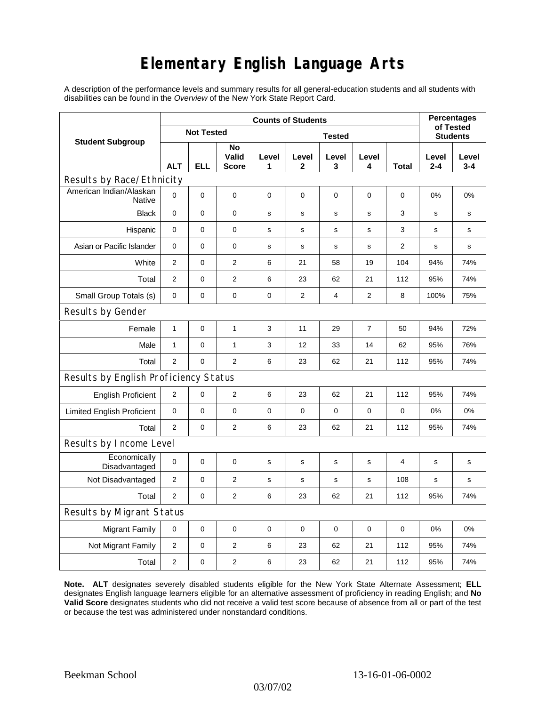## **Elementary English Language Arts**

A description of the performance levels and summary results for all general-education students and all students with disabilities can be found in the *Overview* of the New York State Report Card.

|                                          | <b>Counts of Students</b> |            |                             |               |                       |             |                |                | <b>Percentages</b><br>of Tested |                  |
|------------------------------------------|---------------------------|------------|-----------------------------|---------------|-----------------------|-------------|----------------|----------------|---------------------------------|------------------|
| <b>Student Subgroup</b>                  | <b>Not Tested</b>         |            |                             | <b>Tested</b> |                       |             |                |                | <b>Students</b>                 |                  |
|                                          | <b>ALT</b>                | <b>ELL</b> | No<br>Valid<br><b>Score</b> | Level<br>1    | Level<br>$\mathbf{2}$ | Level<br>3  | Level<br>4     | <b>Total</b>   | Level<br>$2 - 4$                | Level<br>$3 - 4$ |
| Results by Race/Ethnicity                |                           |            |                             |               |                       |             |                |                |                                 |                  |
| American Indian/Alaskan<br><b>Native</b> | $\mathbf 0$               | 0          | $\mathbf 0$                 | $\mathbf 0$   | $\mathbf 0$           | $\mathbf 0$ | 0              | $\mathbf 0$    | 0%                              | 0%               |
| <b>Black</b>                             | 0                         | 0          | $\pmb{0}$                   | $\mathbf s$   | $\mathbf S$           | s           | s              | 3              | $\mathbf s$                     | s                |
| Hispanic                                 | 0                         | 0          | $\pmb{0}$                   | s             | $\mathsf{s}$          | s           | s              | 3              | s                               | s                |
| Asian or Pacific Islander                | $\mathbf 0$               | 0          | 0                           | s             | $\mathbf s$           | ${\bf s}$   | s              | $\overline{2}$ | $\mathbf s$                     | s                |
| White                                    | $\overline{2}$            | 0          | $\mathbf{2}$                | 6             | 21                    | 58          | 19             | 104            | 94%                             | 74%              |
| Total                                    | 2                         | 0          | $\mathbf{2}$                | 6             | 23                    | 62          | 21             | 112            | 95%                             | 74%              |
| Small Group Totals (s)                   | 0                         | 0          | 0                           | 0             | 2                     | 4           | 2              | 8              | 100%                            | 75%              |
| Results by Gender                        |                           |            |                             |               |                       |             |                |                |                                 |                  |
| Female                                   | $\mathbf{1}$              | 0          | $\mathbf{1}$                | 3             | 11                    | 29          | $\overline{7}$ | 50             | 94%                             | 72%              |
| Male                                     | $\mathbf{1}$              | 0          | 1                           | 3             | 12                    | 33          | 14             | 62             | 95%                             | 76%              |
| Total                                    | $\mathbf{2}$              | 0          | 2                           | 6             | 23                    | 62          | 21             | 112            | 95%                             | 74%              |
| Results by English Proficiency Status    |                           |            |                             |               |                       |             |                |                |                                 |                  |
| <b>English Proficient</b>                | $\mathbf{2}$              | 0          | $\overline{2}$              | 6             | 23                    | 62          | 21             | 112            | 95%                             | 74%              |
| <b>Limited English Proficient</b>        | $\mathbf 0$               | 0          | $\pmb{0}$                   | $\pmb{0}$     | 0                     | $\mathbf 0$ | 0              | 0              | 0%                              | 0%               |
| Total                                    | 2                         | 0          | $\overline{2}$              | 6             | 23                    | 62          | 21             | 112            | 95%                             | 74%              |
| Results by Income Level                  |                           |            |                             |               |                       |             |                |                |                                 |                  |
| Economically<br>Disadvantaged            | $\pmb{0}$                 | 0          | $\mathbf 0$                 | s             | $\mathsf{s}$          | S           | s              | 4              | $\mathbf s$                     | s                |
| Not Disadvantaged                        | 2                         | 0          | $\overline{2}$              | s             | s                     | s           | s              | 108            | s                               | s                |
| Total                                    | 2                         | 0          | 2                           | 6             | 23                    | 62          | 21             | 112            | 95%                             | 74%              |
| Results by Migrant Status                |                           |            |                             |               |                       |             |                |                |                                 |                  |
| <b>Migrant Family</b>                    | 0                         | 0          | $\pmb{0}$                   | $\pmb{0}$     | 0                     | $\mathbf 0$ | 0              | 0              | 0%                              | 0%               |
| Not Migrant Family                       | $\mathbf{2}$              | 0          | $\mathbf{2}$                | 6             | 23                    | 62          | 21             | 112            | 95%                             | 74%              |
| Total                                    | 2                         | 0          | 2                           | 6             | 23                    | 62          | 21             | 112            | 95%                             | 74%              |

**Note. ALT** designates severely disabled students eligible for the New York State Alternate Assessment; **ELL** designates English language learners eligible for an alternative assessment of proficiency in reading English; and **No Valid Score** designates students who did not receive a valid test score because of absence from all or part of the test or because the test was administered under nonstandard conditions.